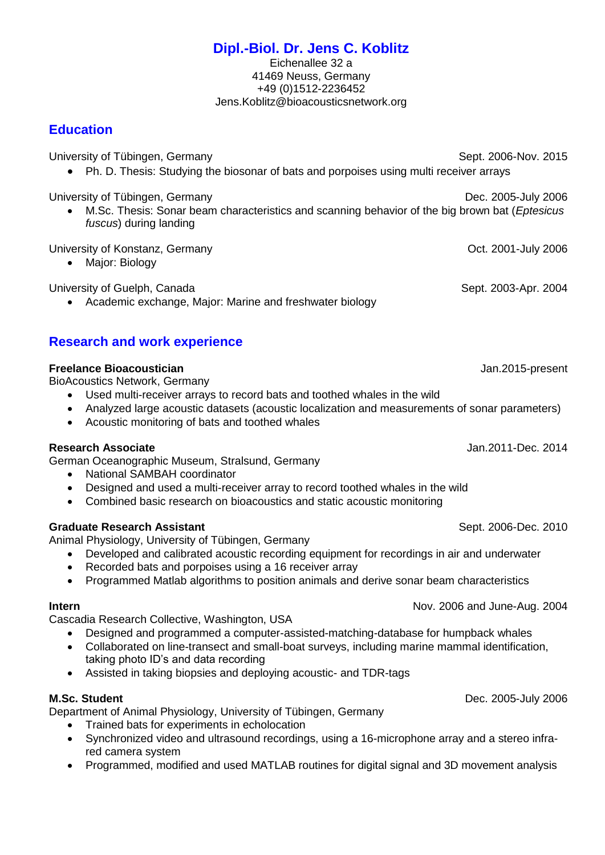# **Dipl.-Biol. Dr. Jens C. Koblitz**

Eichenallee 32 a 41469 Neuss, Germany +49 (0)1512-2236452 Jens.Koblitz@bioacousticsnetwork.org

## **Education**

University of Tübingen, Germany Sept. 2006-Nov. 2015 Ph. D. Thesis: Studying the biosonar of bats and porpoises using multi receiver arrays

University of Tübingen, Germany Dec. 2005-July 2006

 M.Sc. Thesis: Sonar beam characteristics and scanning behavior of the big brown bat (*Eptesicus fuscus*) during landing

University of Konstanz, Germany **Constant Constant Constant Constant Constant Constant Constant Constant Constant** 

• Major: Biology

University of Guelph, Canada Sept. 2003-Apr. 2004

Academic exchange, Major: Marine and freshwater biology

## **Research and work experience**

#### **Freelance Bioacoustician Jan.2015-present**

BioAcoustics Network, Germany

- Used multi-receiver arrays to record bats and toothed whales in the wild
- Analyzed large acoustic datasets (acoustic localization and measurements of sonar parameters)
- Acoustic monitoring of bats and toothed whales

#### **Research Associate** Jan.2011-Dec. 2014

German Oceanographic Museum, Stralsund, Germany

- National SAMBAH coordinator
- Designed and used a multi-receiver array to record toothed whales in the wild
- Combined basic research on bioacoustics and static acoustic monitoring

#### **Graduate Research Assistant** Sept. 2006-Dec. 2010

Animal Physiology, University of Tübingen, Germany

- Developed and calibrated acoustic recording equipment for recordings in air and underwater
- Recorded bats and porpoises using a 16 receiver array
- Programmed Matlab algorithms to position animals and derive sonar beam characteristics

#### **Intern Internal Internal Internal Internal Internal Internal Internal Internal Internal Internal Internal Internal Internal Internal Internal Internal Internal Internal Internal Internal Internal Internal Internal Inter**

Cascadia Research Collective, Washington, USA

- Designed and programmed a computer-assisted-matching-database for humpback whales
- Collaborated on line-transect and small-boat surveys, including marine mammal identification, taking photo ID's and data recording
- Assisted in taking biopsies and deploying acoustic- and TDR-tags

Department of Animal Physiology, University of Tübingen, Germany

- Trained bats for experiments in echolocation
- Synchronized video and ultrasound recordings, using a 16-microphone array and a stereo infrared camera system
- Programmed, modified and used MATLAB routines for digital signal and 3D movement analysis

**M.Sc. Student** Dec. 2005-July 2006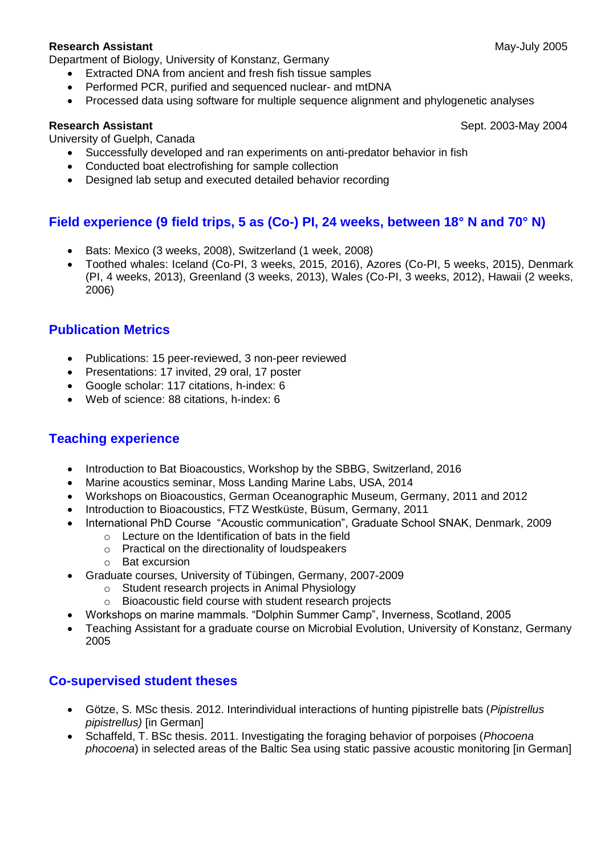#### **Research Assistant** May-July 2005

Department of Biology, University of Konstanz, Germany

- Extracted DNA from ancient and fresh fish tissue samples
- Performed PCR, purified and sequenced nuclear- and mtDNA
- Processed data using software for multiple sequence alignment and phylogenetic analyses

University of Guelph, Canada

- Successfully developed and ran experiments on anti-predator behavior in fish
- Conducted boat electrofishing for sample collection
- Designed lab setup and executed detailed behavior recording

## **Field experience (9 field trips, 5 as (Co-) PI, 24 weeks, between 18° N and 70° N)**

- Bats: Mexico (3 weeks, 2008), Switzerland (1 week, 2008)
- Toothed whales: Iceland (Co-PI, 3 weeks, 2015, 2016), Azores (Co-PI, 5 weeks, 2015), Denmark (PI, 4 weeks, 2013), Greenland (3 weeks, 2013), Wales (Co-PI, 3 weeks, 2012), Hawaii (2 weeks, 2006)

## **Publication Metrics**

- Publications: 15 peer-reviewed, 3 non-peer reviewed
- Presentations: 17 invited, 29 oral, 17 poster
- Google scholar: 117 citations, h-index: 6
- Web of science: 88 citations, h-index: 6

#### **Teaching experience**

- Introduction to Bat Bioacoustics, Workshop by the SBBG, Switzerland, 2016
- Marine acoustics seminar, Moss Landing Marine Labs, USA, 2014
- Workshops on Bioacoustics, German Oceanographic Museum, Germany, 2011 and 2012
- Introduction to Bioacoustics, FTZ Westküste, Büsum, Germany, 2011
- International PhD Course "Acoustic communication", Graduate School SNAK, Denmark, 2009
	- $\circ$  Lecture on the Identification of bats in the field
	- o Practical on the directionality of loudspeakers
	- o Bat excursion
- Graduate courses, University of Tübingen, Germany, 2007-2009
	- o Student research projects in Animal Physiology
	- o Bioacoustic field course with student research projects
- Workshops on marine mammals. "Dolphin Summer Camp", Inverness, Scotland, 2005
- Teaching Assistant for a graduate course on Microbial Evolution, University of Konstanz, Germany 2005

#### **Co-supervised student theses**

- Götze, S. MSc thesis. 2012. Interindividual interactions of hunting pipistrelle bats (*Pipistrellus pipistrellus)* [in German]
- Schaffeld, T. BSc thesis. 2011. Investigating the foraging behavior of porpoises (*Phocoena phocoena*) in selected areas of the Baltic Sea using static passive acoustic monitoring [in German]

**Research Assistant** Sept. 2003-May 2004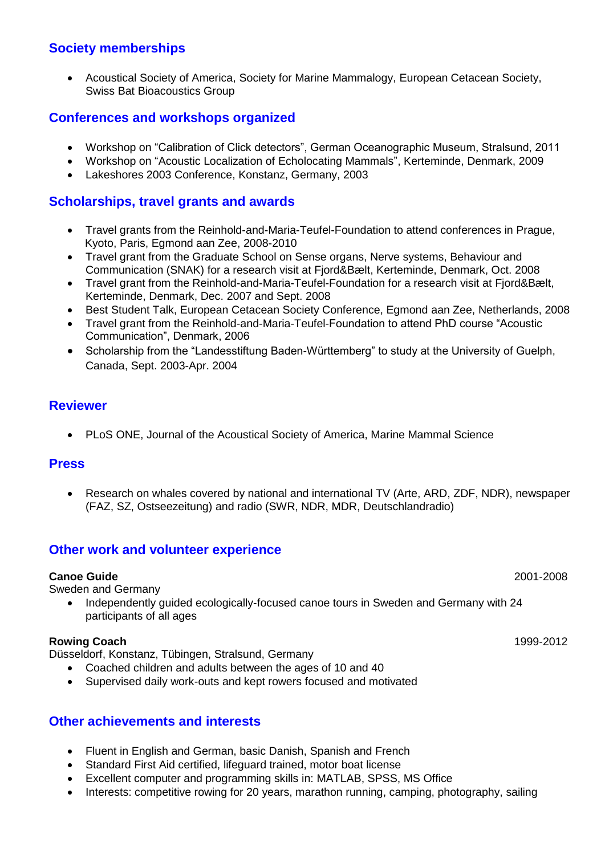## **Society memberships**

 Acoustical Society of America, Society for Marine Mammalogy, European Cetacean Society, Swiss Bat Bioacoustics Group

## **Conferences and workshops organized**

- Workshop on "Calibration of Click detectors", German Oceanographic Museum, Stralsund, 2011
- Workshop on "Acoustic Localization of Echolocating Mammals", Kerteminde, Denmark, 2009
- Lakeshores 2003 Conference, Konstanz, Germany, 2003

#### **Scholarships, travel grants and awards**

- Travel grants from the Reinhold-and-Maria-Teufel-Foundation to attend conferences in Prague, Kyoto, Paris, Egmond aan Zee, 2008-2010
- Travel grant from the Graduate School on Sense organs, Nerve systems, Behaviour and Communication (SNAK) for a research visit at Fjord&Bælt, Kerteminde, Denmark, Oct. 2008
- Travel grant from the Reinhold-and-Maria-Teufel-Foundation for a research visit at Fjord&Bælt, Kerteminde, Denmark, Dec. 2007 and Sept. 2008
- Best Student Talk, European Cetacean Society Conference, Egmond aan Zee, Netherlands, 2008
- Travel grant from the Reinhold-and-Maria-Teufel-Foundation to attend PhD course "Acoustic Communication", Denmark, 2006
- Scholarship from the "Landesstiftung Baden-Württemberg" to study at the University of Guelph, Canada, Sept. 2003-Apr. 2004

#### **Reviewer**

PLoS ONE, Journal of the Acoustical Society of America, Marine Mammal Science

#### **Press**

 Research on whales covered by national and international TV (Arte, ARD, ZDF, NDR), newspaper (FAZ, SZ, Ostseezeitung) and radio (SWR, NDR, MDR, Deutschlandradio)

#### **Other work and volunteer experience**

#### **Canoe Guide** 2001-2008

Sweden and Germany

 Independently guided ecologically-focused canoe tours in Sweden and Germany with 24 participants of all ages

#### **Rowing Coach** 1999-2012

Düsseldorf, Konstanz, Tübingen, Stralsund, Germany

- Coached children and adults between the ages of 10 and 40
- Supervised daily work-outs and kept rowers focused and motivated

### **Other achievements and interests**

- Fluent in English and German, basic Danish, Spanish and French
- Standard First Aid certified, lifeguard trained, motor boat license
- Excellent computer and programming skills in: MATLAB, SPSS, MS Office
- Interests: competitive rowing for 20 years, marathon running, camping, photography, sailing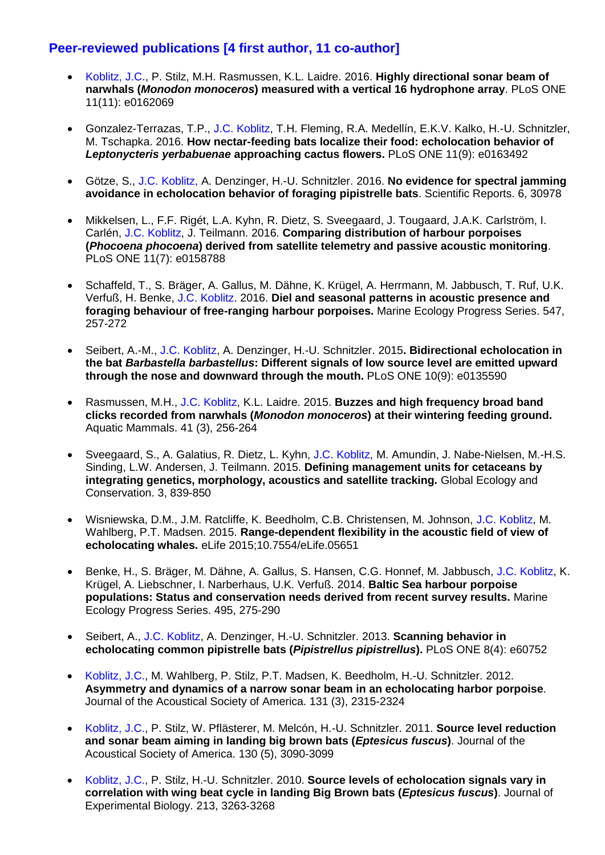## **Peer-reviewed publications [4 first author, 11 co-author]**

- Koblitz, J.C., P. Stilz, M.H. Rasmussen, K.L. Laidre. 2016. **Highly directional sonar beam of narwhals (***Monodon monoceros***) measured with a vertical 16 hydrophone array**. PLoS ONE 11(11): e0162069
- Gonzalez-Terrazas, T.P., J.C. Koblitz, T.H. Fleming, R.A. Medellín, E.K.V. Kalko, H.-U. Schnitzler, M. Tschapka. 2016. **How nectar-feeding bats localize their food: echolocation behavior of**  *Leptonycteris yerbabuenae* **approaching cactus flowers.** PLoS ONE 11(9): e0163492
- Götze, S., J.C. Koblitz, A. Denzinger, H.-U. Schnitzler. 2016. **No evidence for spectral jamming avoidance in echolocation behavior of foraging pipistrelle bats**. Scientific Reports. 6, 30978
- Mikkelsen, L., F.F. Rigét, L.A. Kyhn, R. Dietz, S. Sveegaard, J. Tougaard, J.A.K. Carlström, I. Carlén, J.C. Koblitz, J. Teilmann. 2016. **Comparing distribution of harbour porpoises (***Phocoena phocoena***) derived from satellite telemetry and passive acoustic monitoring**. PLoS ONE 11(7): e0158788
- Schaffeld, T., S. Bräger, A. Gallus, M. Dähne, K. Krügel, A. Herrmann, M. Jabbusch, T. Ruf, U.K. Verfuß, H. Benke, J.C. Koblitz. 2016. **Diel and seasonal patterns in acoustic presence and foraging behaviour of free-ranging harbour porpoises.** Marine Ecology Progress Series. 547, 257-272
- Seibert, A.-M., J.C. Koblitz, A. Denzinger, H.-U. Schnitzler. 2015**. Bidirectional echolocation in the bat** *Barbastella barbastellus***: Different signals of low source level are emitted upward through the nose and downward through the mouth.** PLoS ONE 10(9): e0135590
- Rasmussen, M.H., J.C. Koblitz, K.L. Laidre. 2015. **Buzzes and high frequency broad band clicks recorded from narwhals (***Monodon monoceros***) at their wintering feeding ground.** Aquatic Mammals. 41 (3), 256-264
- Sveegaard, S., A. Galatius, R. Dietz, L. Kyhn, J.C. Koblitz, M. Amundin, J. Nabe-Nielsen, M.-H.S. Sinding, L.W. Andersen, J. Teilmann. 2015. **Defining management units for cetaceans by integrating genetics, morphology, acoustics and satellite tracking.** Global Ecology and Conservation. 3, 839-850
- Wisniewska, D.M., J.M. Ratcliffe, K. Beedholm, C.B. Christensen, M. Johnson, J.C. Koblitz, M. Wahlberg, P.T. Madsen. 2015. **Range-dependent flexibility in the acoustic field of view of echolocating whales.** eLife 2015;10.7554/eLife.05651
- Benke, H., S. Bräger, M. Dähne, A. Gallus, S. Hansen, C.G. Honnef, M. Jabbusch, J.C. Koblitz, K. Krügel, A. Liebschner, I. Narberhaus, U.K. Verfuß. 2014. **Baltic Sea harbour porpoise populations: Status and conservation needs derived from recent survey results.** Marine Ecology Progress Series. 495, 275-290
- Seibert, A., J.C. Koblitz, A. Denzinger, H.-U. Schnitzler. 2013. **Scanning behavior in echolocating common pipistrelle bats (***Pipistrellus pipistrellus***).** PLoS ONE 8(4): e60752
- Koblitz, J.C., M. Wahlberg, P. Stilz, P.T. Madsen, K. Beedholm, H.-U. Schnitzler. 2012. **Asymmetry and dynamics of a narrow sonar beam in an echolocating harbor porpoise**. Journal of the Acoustical Society of America. 131 (3), 2315-2324
- Koblitz, J.C., P. Stilz, W. Pflästerer, M. Melcón, H.-U. Schnitzler. 2011. **Source level reduction and sonar beam aiming in landing big brown bats (***Eptesicus fuscus***)**. Journal of the Acoustical Society of America. 130 (5), 3090-3099
- Koblitz, J.C., P. Stilz, H.-U. Schnitzler. 2010. **Source levels of echolocation signals vary in correlation with wing beat cycle in landing Big Brown bats (***Eptesicus fuscus***)**. Journal of Experimental Biology. 213, 3263-3268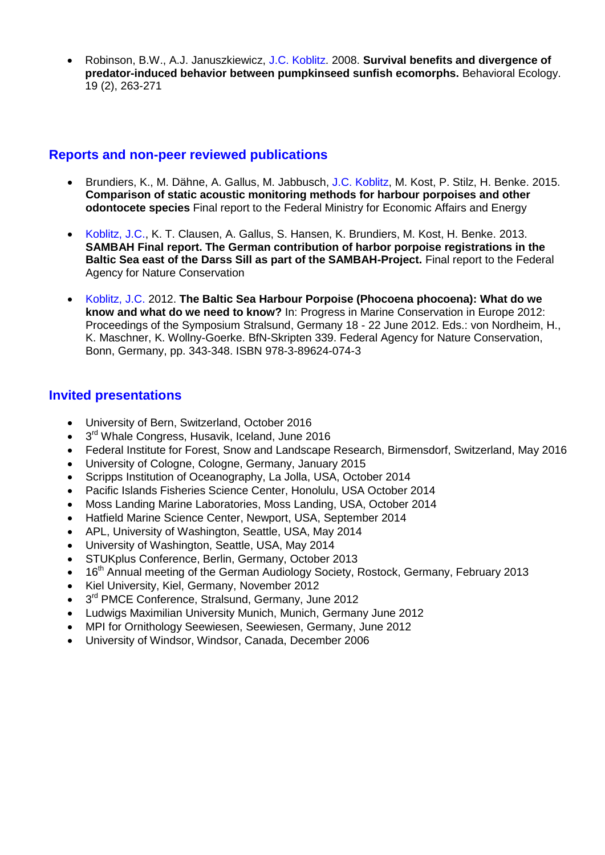Robinson, B.W., A.J. Januszkiewicz, J.C. Koblitz. 2008. **Survival benefits and divergence of predator-induced behavior between pumpkinseed sunfish ecomorphs.** Behavioral Ecology. 19 (2), 263-271

#### **Reports and non-peer reviewed publications**

- Brundiers, K., M. Dähne, A. Gallus, M. Jabbusch, J.C. Koblitz, M. Kost, P. Stilz, H. Benke. 2015. **Comparison of static acoustic monitoring methods for harbour porpoises and other odontocete species** Final report to the Federal Ministry for Economic Affairs and Energy
- Koblitz, J.C., K. T. Clausen, A. Gallus, S. Hansen, K. Brundiers, M. Kost, H. Benke. 2013. **SAMBAH Final report. The German contribution of harbor porpoise registrations in the Baltic Sea east of the Darss Sill as part of the SAMBAH-Project.** Final report to the Federal Agency for Nature Conservation
- Koblitz, J.C. 2012. **The Baltic Sea Harbour Porpoise (Phocoena phocoena): What do we know and what do we need to know?** In: Progress in Marine Conservation in Europe 2012: Proceedings of the Symposium Stralsund, Germany 18 - 22 June 2012. Eds.: von Nordheim, H., K. Maschner, K. Wollny-Goerke. BfN-Skripten 339. Federal Agency for Nature Conservation, Bonn, Germany, pp. 343-348. ISBN 978-3-89624-074-3

## **Invited presentations**

- University of Bern, Switzerland, October 2016
- 3<sup>rd</sup> Whale Congress, Husavik, Iceland, June 2016
- Federal Institute for Forest, Snow and Landscape Research, Birmensdorf, Switzerland, May 2016
- University of Cologne, Cologne, Germany, January 2015
- Scripps Institution of Oceanography, La Jolla, USA, October 2014
- Pacific Islands Fisheries Science Center, Honolulu, USA October 2014
- Moss Landing Marine Laboratories, Moss Landing, USA, October 2014
- Hatfield Marine Science Center, Newport, USA, September 2014
- APL, University of Washington, Seattle, USA, May 2014
- University of Washington, Seattle, USA, May 2014
- STUKplus Conference, Berlin, Germany, October 2013
- 16<sup>th</sup> Annual meeting of the German Audiology Society, Rostock, Germany, February 2013
- Kiel University, Kiel, Germany, November 2012
- 3<sup>rd</sup> PMCE Conference, Stralsund, Germany, June 2012
- Ludwigs Maximilian University Munich, Munich, Germany June 2012
- MPI for Ornithology Seewiesen, Seewiesen, Germany, June 2012
- University of Windsor, Windsor, Canada, December 2006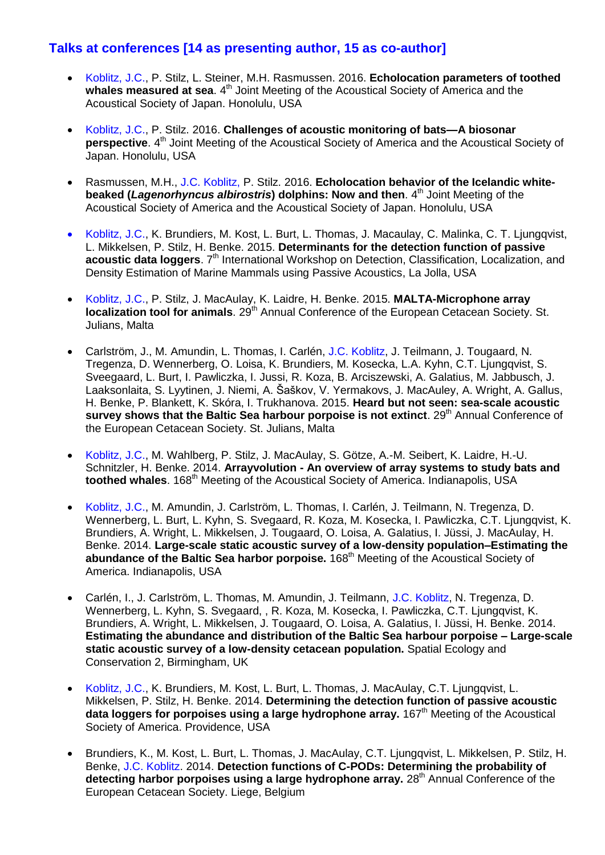## **Talks at conferences [14 as presenting author, 15 as co-author]**

- Koblitz, J.C., P. Stilz, L. Steiner, M.H. Rasmussen. 2016. **Echolocation parameters of toothed**  whales measured at sea. 4<sup>th</sup> Joint Meeting of the Acoustical Society of America and the Acoustical Society of Japan. Honolulu, USA
- Koblitz, J.C., P. Stilz. 2016. **Challenges of acoustic monitoring of bats—A biosonar** perspective. 4<sup>th</sup> Joint Meeting of the Acoustical Society of America and the Acoustical Society of Japan. Honolulu, USA
- Rasmussen, M.H., J.C. Koblitz, P. Stilz. 2016. **Echolocation behavior of the Icelandic whitebeaked (***Lagenorhyncus albirostris***) dolphins: Now and then**. 4 th Joint Meeting of the Acoustical Society of America and the Acoustical Society of Japan. Honolulu, USA
- Koblitz, J.C., K. Brundiers, M. Kost, L. Burt, L. Thomas, J. Macaulay, C. Malinka, C. T. Ljungqvist, L. Mikkelsen, P. Stilz, H. Benke. 2015. **Determinants for the detection function of passive**  acoustic data loggers. 7<sup>th</sup> International Workshop on Detection, Classification, Localization, and Density Estimation of Marine Mammals using Passive Acoustics, La Jolla, USA
- Koblitz, J.C., P. Stilz, J. MacAulay, K. Laidre, H. Benke. 2015. **MALTA-Microphone array localization tool for animals**. 29<sup>th</sup> Annual Conference of the European Cetacean Society. St. Julians, Malta
- Carlström, J., M. Amundin, L. Thomas, I. Carlén, J.C. Koblitz, J. Teilmann, J. Tougaard, N. Tregenza, D. Wennerberg, O. Loisa, K. Brundiers, M. Kosecka, L.A. Kyhn, C.T. Ljungqvist, S. Sveegaard, L. Burt, I. Pawliczka, I. Jussi, R. Koza, B. Arciszewski, A. Galatius, M. Jabbusch, J. Laaksonlaita, S. Lyytinen, J. Niemi, A. Šaškov, V. Yermakovs, J. MacAuley, A. Wright, A. Gallus, H. Benke, P. Blankett, K. Skóra, I. Trukhanova. 2015. **Heard but not seen: sea-scale acoustic survey shows that the Baltic Sea harbour porpoise is not extinct**. 29<sup>th</sup> Annual Conference of the European Cetacean Society. St. Julians, Malta
- Koblitz, J.C., M. Wahlberg, P. Stilz, J. MacAulay, S. Götze, A.-M. Seibert, K. Laidre, H.-U. Schnitzler, H. Benke. 2014. **Arrayvolution - An overview of array systems to study bats and**  toothed whales. 168<sup>th</sup> Meeting of the Acoustical Society of America. Indianapolis, USA
- Koblitz, J.C., M. Amundin, J. Carlström, L. Thomas, I. Carlén, J. Teilmann, N. Tregenza, D. Wennerberg, L. Burt, L. Kyhn, S. Svegaard, R. Koza, M. Kosecka, I. Pawliczka, C.T. Ljungqvist, K. Brundiers, A. Wright, L. Mikkelsen, J. Tougaard, O. Loisa, A. Galatius, I. Jüssi, J. MacAulay, H. Benke. 2014. **Large-scale static acoustic survey of a low-density population–Estimating the abundance of the Baltic Sea harbor porpoise.** 168th Meeting of the Acoustical Society of America. Indianapolis, USA
- Carlén, I., J. Carlström, L. Thomas, M. Amundin, J. Teilmann, J.C. Koblitz, N. Tregenza, D. Wennerberg, L. Kyhn, S. Svegaard, , R. Koza, M. Kosecka, I. Pawliczka, C.T. Ljungqvist, K. Brundiers, A. Wright, L. Mikkelsen, J. Tougaard, O. Loisa, A. Galatius, I. Jüssi, H. Benke. 2014. **Estimating the abundance and distribution of the Baltic Sea harbour porpoise – Large-scale static acoustic survey of a low-density cetacean population.** Spatial Ecology and Conservation 2, Birmingham, UK
- Koblitz, J.C., K. Brundiers, M. Kost, L. Burt, L. Thomas, J. MacAulay, C.T. Ljungqvist, L. Mikkelsen, P. Stilz, H. Benke. 2014. **Determining the detection function of passive acoustic**  data loggers for porpoises using a large hydrophone array. 167<sup>th</sup> Meeting of the Acoustical Society of America. Providence, USA
- Brundiers, K., M. Kost, L. Burt, L. Thomas, J. MacAulay, C.T. Ljungqvist, L. Mikkelsen, P. Stilz, H. Benke, J.C. Koblitz. 2014. **Detection functions of C-PODs: Determining the probability of**  detecting harbor porpoises using a large hydrophone array. 28<sup>th</sup> Annual Conference of the European Cetacean Society. Liege, Belgium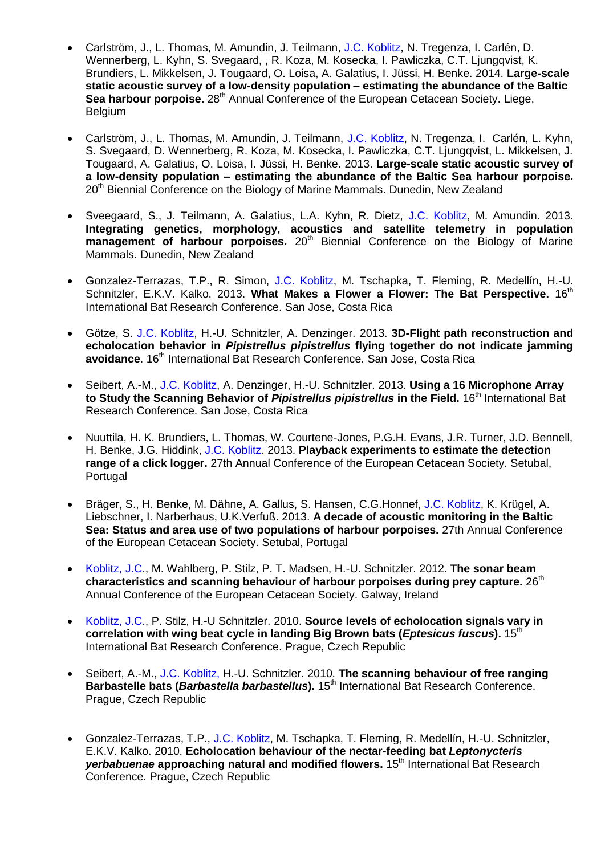- Carlström, J., L. Thomas, M. Amundin, J. Teilmann, J.C. Koblitz, N. Tregenza, I. Carlén, D. Wennerberg, L. Kyhn, S. Svegaard, , R. Koza, M. Kosecka, I. Pawliczka, C.T. Ljungqvist, K. Brundiers, L. Mikkelsen, J. Tougaard, O. Loisa, A. Galatius, I. Jüssi, H. Benke. 2014. **Large-scale static acoustic survey of a low-density population – estimating the abundance of the Baltic Sea harbour porpoise.** 28<sup>th</sup> Annual Conference of the European Cetacean Society. Liege, Belgium
- Carlström, J., L. Thomas, M. Amundin, J. Teilmann, J.C. Koblitz, N. Tregenza, I. Carlén, L. Kyhn, S. Svegaard, D. Wennerberg, R. Koza, M. Kosecka, I. Pawliczka, C.T. Ljungqvist, L. Mikkelsen, J. Tougaard, A. Galatius, O. Loisa, I. Jüssi, H. Benke. 2013. **Large-scale static acoustic survey of a low-density population – estimating the abundance of the Baltic Sea harbour porpoise.** 20<sup>th</sup> Biennial Conference on the Biology of Marine Mammals. Dunedin, New Zealand
- Sveegaard, S., J. Teilmann, A. Galatius, L.A. Kyhn, R. Dietz, J.C. Koblitz, M. Amundin. 2013. **Integrating genetics, morphology, acoustics and satellite telemetry in population management of harbour porpoises.** 20<sup>th</sup> Biennial Conference on the Biology of Marine Mammals. Dunedin, New Zealand
- Gonzalez-Terrazas, T.P., R. Simon, J.C. Koblitz, M. Tschapka, T. Fleming, R. Medellín, H.-U. Schnitzler, E.K.V. Kalko. 2013. What Makes a Flower a Flower: The Bat Perspective. 16<sup>th</sup> International Bat Research Conference. San Jose, Costa Rica
- Götze, S. J.C. Koblitz, H.-U. Schnitzler, A. Denzinger. 2013. **3D-Flight path reconstruction and echolocation behavior in** *Pipistrellus pipistrellus* **flying together do not indicate jamming avoidance**. 16<sup>th</sup> International Bat Research Conference. San Jose, Costa Rica
- Seibert, A.-M., J.C. Koblitz, A. Denzinger, H.-U. Schnitzler. 2013. **Using a 16 Microphone Array to Study the Scanning Behavior of** *Pipistrellus pipistrellus* **in the Field.** 16th International Bat Research Conference. San Jose, Costa Rica
- Nuuttila, H. K. Brundiers, L. Thomas, W. Courtene-Jones, P.G.H. Evans, J.R. Turner, J.D. Bennell, H. Benke, J.G. Hiddink, J.C. Koblitz. 2013. **Playback experiments to estimate the detection range of a click logger.** 27th Annual Conference of the European Cetacean Society. Setubal, **Portugal**
- Bräger, S., H. Benke, M. Dähne, A. Gallus, S. Hansen, C.G.Honnef, J.C. Koblitz, K. Krügel, A. Liebschner, I. Narberhaus, U.K.Verfuß. 2013. **A decade of acoustic monitoring in the Baltic Sea: Status and area use of two populations of harbour porpoises.** 27th Annual Conference of the European Cetacean Society. Setubal, Portugal
- Koblitz, J.C., M. Wahlberg, P. Stilz, P. T. Madsen, H.-U. Schnitzler. 2012. **The sonar beam**  characteristics and scanning behaviour of harbour porpoises during prey capture. 26<sup>th</sup> Annual Conference of the European Cetacean Society. Galway, Ireland
- Koblitz, J.C., P. Stilz, H.-U Schnitzler. 2010. **Source levels of echolocation signals vary in correlation with wing beat cycle in landing Big Brown bats (***Eptesicus fuscus***).** 15th International Bat Research Conference. Prague, Czech Republic
- Seibert, A.-M., J.C. Koblitz, H.-U. Schnitzler. 2010. **The scanning behaviour of free ranging Barbastelle bats (***Barbastella barbastellus*). 15<sup>th</sup> International Bat Research Conference. Prague, Czech Republic
- Gonzalez-Terrazas, T.P., J.C. Koblitz, M. Tschapka, T. Fleming, R. Medellín, H.-U. Schnitzler, E.K.V. Kalko. 2010. **Echolocation behaviour of the nectar-feeding bat** *Leptonycteris yerbabuenae* approaching natural and modified flowers. 15<sup>th</sup> International Bat Research Conference. Prague, Czech Republic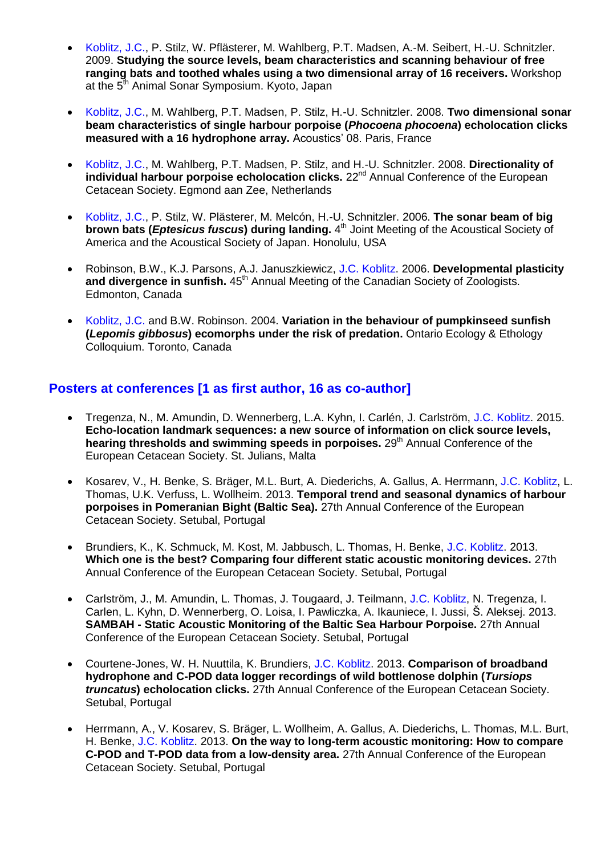- Koblitz, J.C., P. Stilz, W. Pflästerer, M. Wahlberg, P.T. Madsen, A.-M. Seibert, H.-U. Schnitzler. 2009. **Studying the source levels, beam characteristics and scanning behaviour of free ranging bats and toothed whales using a two dimensional array of 16 receivers.** Workshop at the 5<sup>th</sup> Animal Sonar Symposium. Kyoto, Japan
- Koblitz, J.C., M. Wahlberg, P.T. Madsen, P. Stilz, H.-U. Schnitzler. 2008. **Two dimensional sonar beam characteristics of single harbour porpoise (***Phocoena phocoena***) echolocation clicks measured with a 16 hydrophone array.** Acoustics' 08. Paris, France
- Koblitz, J.C., M. Wahlberg, P.T. Madsen, P. Stilz, and H.-U. Schnitzler. 2008. **Directionality of individual harbour porpoise echolocation clicks.** 22<sup>nd</sup> Annual Conference of the European Cetacean Society. Egmond aan Zee, Netherlands
- Koblitz, J.C., P. Stilz, W. Plästerer, M. Melcón, H.-U. Schnitzler. 2006. **The sonar beam of big brown bats (***Eptesicus fuscus***) during landing.** 4 th Joint Meeting of the Acoustical Society of America and the Acoustical Society of Japan. Honolulu, USA
- Robinson, B.W., K.J. Parsons, A.J. Januszkiewicz, J.C. Koblitz. 2006. **Developmental plasticity**  and divergence in sunfish. 45<sup>th</sup> Annual Meeting of the Canadian Society of Zoologists. Edmonton, Canada
- Koblitz, J.C. and B.W. Robinson. 2004. **Variation in the behaviour of pumpkinseed sunfish (***Lepomis gibbosus***) ecomorphs under the risk of predation.** Ontario Ecology & Ethology Colloquium. Toronto, Canada

#### **Posters at conferences [1 as first author, 16 as co-author]**

- Tregenza, N., M. Amundin, D. Wennerberg, L.A. Kyhn, I. Carlén, J. Carlström, J.C. Koblitz. 2015. **Echo-location landmark sequences: a new source of information on click source levels, hearing thresholds and swimming speeds in porpoises.** 29<sup>th</sup> Annual Conference of the European Cetacean Society. St. Julians, Malta
- Kosarev, V., H. Benke, S. Bräger, M.L. Burt, A. Diederichs, A. Gallus, A. Herrmann, J.C. Koblitz, L. Thomas, U.K. Verfuss, L. Wollheim. 2013. **Temporal trend and seasonal dynamics of harbour porpoises in Pomeranian Bight (Baltic Sea).** 27th Annual Conference of the European Cetacean Society. Setubal, Portugal
- Brundiers, K., K. Schmuck, M. Kost, M. Jabbusch, L. Thomas, H. Benke, J.C. Koblitz. 2013. **Which one is the best? Comparing four different static acoustic monitoring devices.** 27th Annual Conference of the European Cetacean Society. Setubal, Portugal
- Carlström, J., M. Amundin, L. Thomas, J. Tougaard, J. Teilmann, J.C. Koblitz, N. Tregenza, I. Carlen, L. Kyhn, D. Wennerberg, O. Loisa, I. Pawliczka, A. Ikauniece, I. Jussi, Š. Aleksej. 2013. **SAMBAH - Static Acoustic Monitoring of the Baltic Sea Harbour Porpoise.** 27th Annual Conference of the European Cetacean Society. Setubal, Portugal
- Courtene-Jones, W. H. Nuuttila, K. Brundiers, J.C. Koblitz. 2013. **Comparison of broadband hydrophone and C-POD data logger recordings of wild bottlenose dolphin (***Tursiops truncatus***) echolocation clicks.** 27th Annual Conference of the European Cetacean Society. Setubal, Portugal
- Herrmann, A., V. Kosarev, S. Bräger, L. Wollheim, A. Gallus, A. Diederichs, L. Thomas, M.L. Burt, H. Benke, J.C. Koblitz. 2013. **On the way to long-term acoustic monitoring: How to compare C-POD and T-POD data from a low-density area.** 27th Annual Conference of the European Cetacean Society. Setubal, Portugal